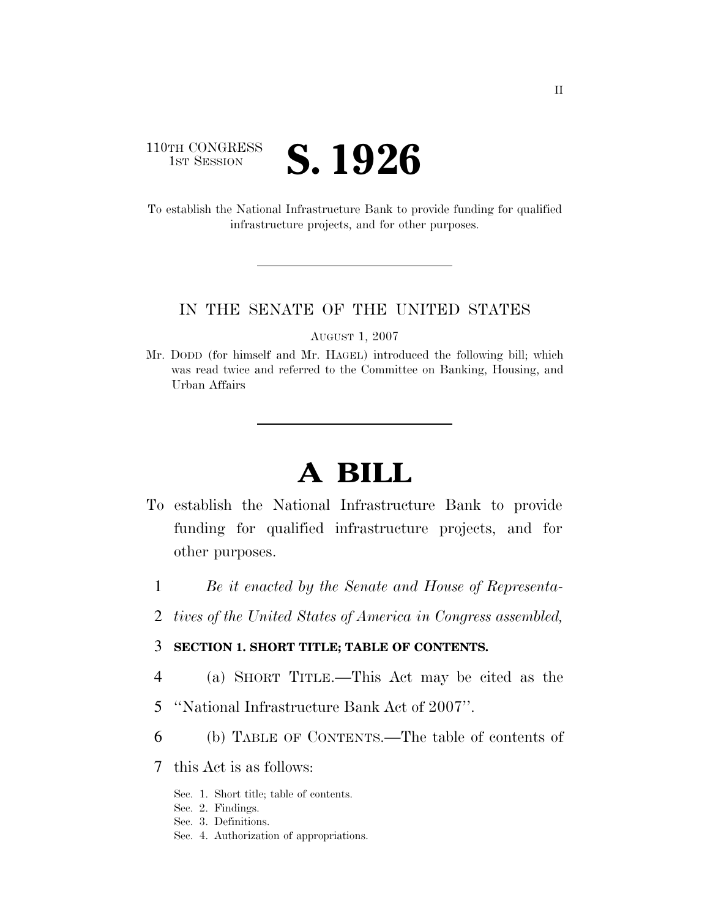### 110TH CONGRESS **IST SESSION S. 1926**

To establish the National Infrastructure Bank to provide funding for qualified infrastructure projects, and for other purposes.

### IN THE SENATE OF THE UNITED STATES

AUGUST 1, 2007

Mr. DODD (for himself and Mr. HAGEL) introduced the following bill; which was read twice and referred to the Committee on Banking, Housing, and Urban Affairs

# **A BILL**

- To establish the National Infrastructure Bank to provide funding for qualified infrastructure projects, and for other purposes.
	- 1 *Be it enacted by the Senate and House of Representa-*
	- 2 *tives of the United States of America in Congress assembled,*

### 3 **SECTION 1. SHORT TITLE; TABLE OF CONTENTS.**

- 4 (a) SHORT TITLE.—This Act may be cited as the
- 5 ''National Infrastructure Bank Act of 2007''.
- 6 (b) TABLE OF CONTENTS.—The table of contents of
- 7 this Act is as follows:
	- Sec. 1. Short title; table of contents.
	- Sec. 2. Findings.
	- Sec. 3. Definitions.
	- Sec. 4. Authorization of appropriations.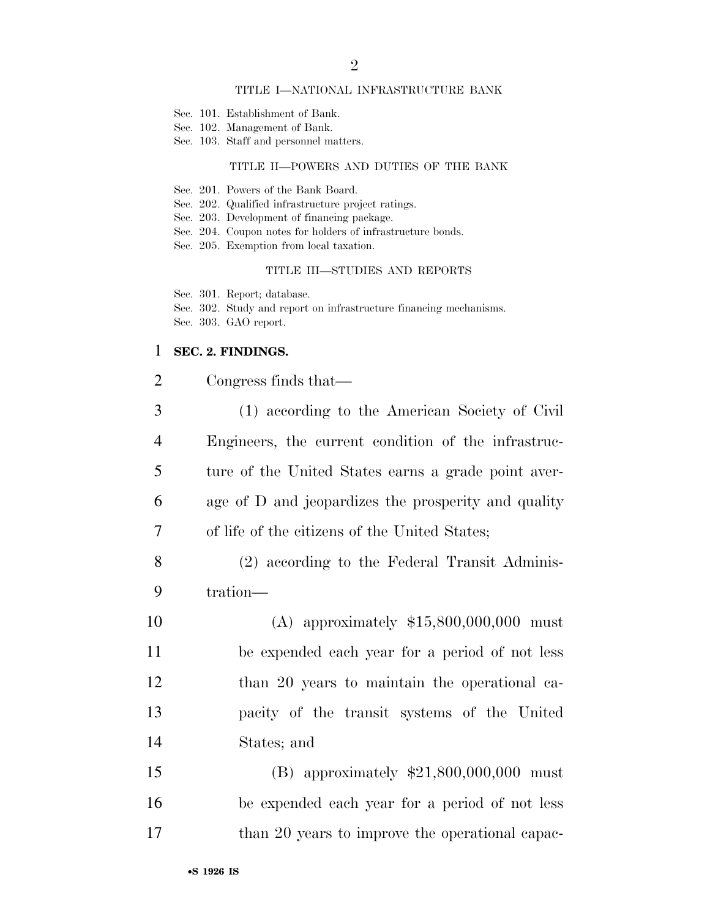#### TITLE I—NATIONAL INFRASTRUCTURE BANK

- Sec. 101. Establishment of Bank.
- Sec. 102. Management of Bank.
- Sec. 103. Staff and personnel matters.

### TITLE II—POWERS AND DUTIES OF THE BANK

- Sec. 201. Powers of the Bank Board.
- Sec. 202. Qualified infrastructure project ratings.
- Sec. 203. Development of financing package.
- Sec. 204. Coupon notes for holders of infrastructure bonds.
- Sec. 205. Exemption from local taxation.

#### TITLE III—STUDIES AND REPORTS

Sec. 301. Report; database.

Sec. 302. Study and report on infrastructure financing mechanisms. Sec. 303. GAO report.

### 1 **SEC. 2. FINDINGS.**

| $\overline{2}$ | Congress finds that—                                |
|----------------|-----------------------------------------------------|
| $\mathfrak{Z}$ | (1) according to the American Society of Civil      |
| 4              | Engineers, the current condition of the infrastruc- |
| 5              | ture of the United States earns a grade point aver- |
| 6              | age of D and jeopardizes the prosperity and quality |
| 7              | of life of the citizens of the United States;       |
| $8\,$          | (2) according to the Federal Transit Adminis-       |
| 9              | tration-                                            |
| 10             | (A) approximately $$15,800,000,000$ must            |
| 11             | be expended each year for a period of not less      |
| 12             | than 20 years to maintain the operational ca-       |
| 13             | pacity of the transit systems of the United         |
| 14             | States; and                                         |
| 15             | (B) approximately $$21,800,000,000$ must            |
| 16             | be expended each year for a period of not less      |
| 17             | than 20 years to improve the operational capac-     |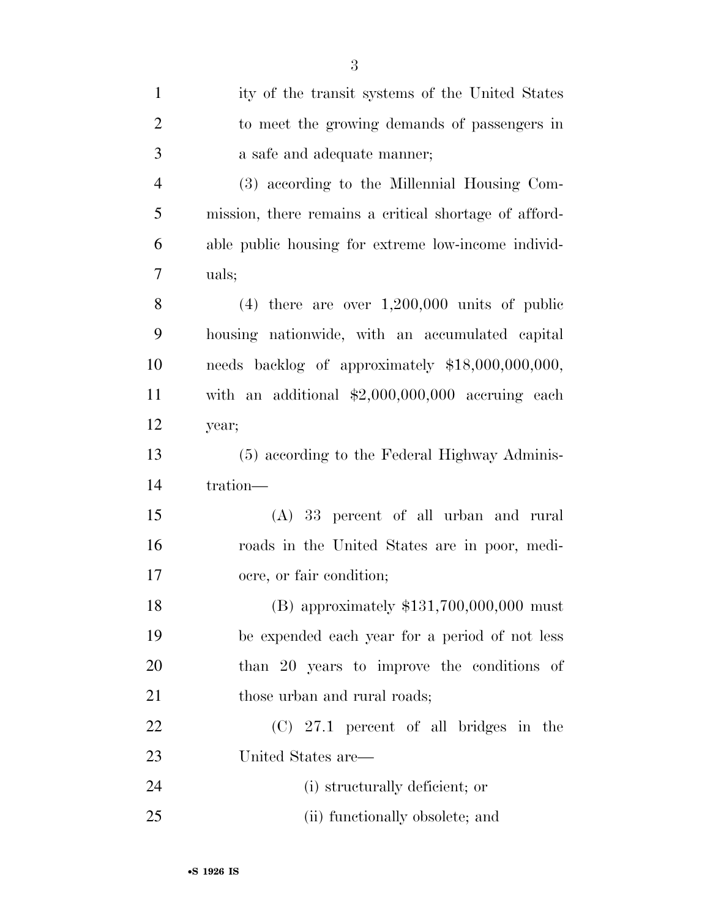| $\mathbf{1}$   | ity of the transit systems of the United States       |
|----------------|-------------------------------------------------------|
| $\overline{2}$ | to meet the growing demands of passengers in          |
| 3              | a safe and adequate manner;                           |
| $\overline{4}$ | (3) according to the Millennial Housing Com-          |
| 5              | mission, there remains a critical shortage of afford- |
| 6              | able public housing for extreme low-income individ-   |
| 7              | uals;                                                 |
| 8              | $(4)$ there are over $1,200,000$ units of public      |
| 9              | housing nationwide, with an accumulated capital       |
| 10             | needs backlog of approximately \$18,000,000,000,      |
| 11             | with an additional $$2,000,000,000$ accruing each     |
| 12             | year;                                                 |
| 13             | (5) according to the Federal Highway Adminis-         |
| 14             | tration-                                              |
| 15             | (A) 33 percent of all urban and rural                 |
| 16             | roads in the United States are in poor, medi-         |
| 17             | ocre, or fair condition;                              |
| 18             | (B) approximately $$131,700,000,000$ must             |
| 19             | be expended each year for a period of not less        |
| 20             | than 20 years to improve the conditions of            |
| 21             | those urban and rural roads;                          |
| 22             | $(C)$ 27.1 percent of all bridges in the              |
| 23             | United States are-                                    |
| 24             | (i) structurally deficient; or                        |
| 25             | (ii) functionally obsolete; and                       |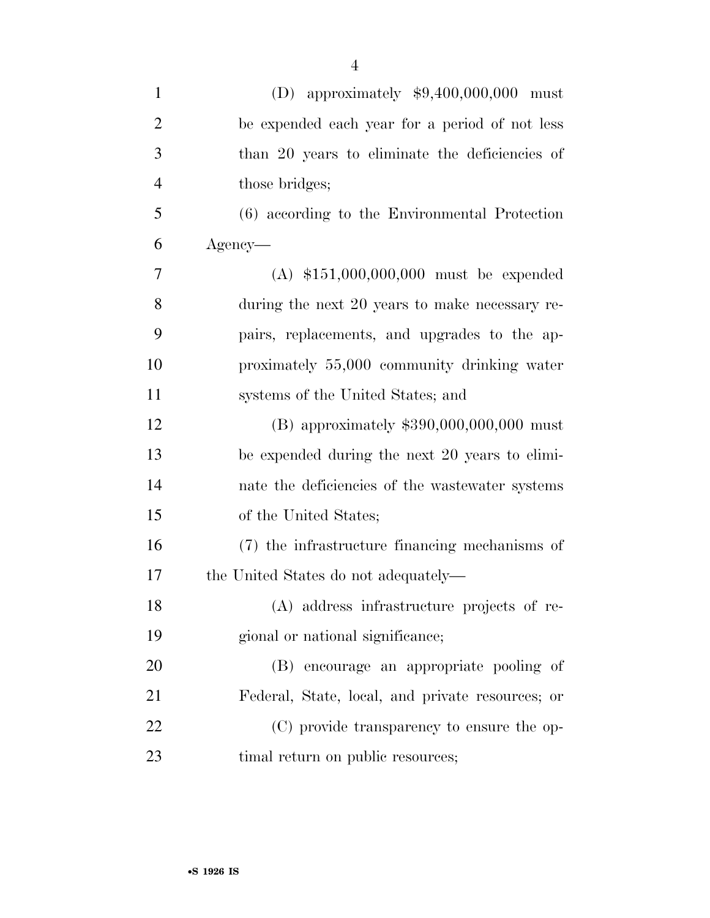| $\mathbf{1}$   | (D) approximately $$9,400,000,000$ must          |
|----------------|--------------------------------------------------|
| $\overline{2}$ | be expended each year for a period of not less   |
| 3              | than 20 years to eliminate the deficiencies of   |
| $\overline{4}$ | those bridges;                                   |
| 5              | (6) according to the Environmental Protection    |
| 6              | Agency—                                          |
| 7              | $(A)$ \$151,000,000,000 must be expended         |
| 8              | during the next 20 years to make necessary re-   |
| 9              | pairs, replacements, and upgrades to the ap-     |
| 10             | proximately 55,000 community drinking water      |
| 11             | systems of the United States; and                |
| 12             | (B) approximately $$390,000,000,000$ must        |
| 13             | be expended during the next 20 years to elimi-   |
| 14             | nate the deficiencies of the wastewater systems  |
| 15             | of the United States;                            |
| 16             | (7) the infrastructure financing mechanisms of   |
| 17             | the United States do not adequately—             |
| 18             | (A) address infrastructure projects of re-       |
| 19             | gional or national significance;                 |
| 20             | (B) encourage an appropriate pooling of          |
| 21             | Federal, State, local, and private resources; or |
| 22             | (C) provide transparency to ensure the op-       |
| 23             | timal return on public resources;                |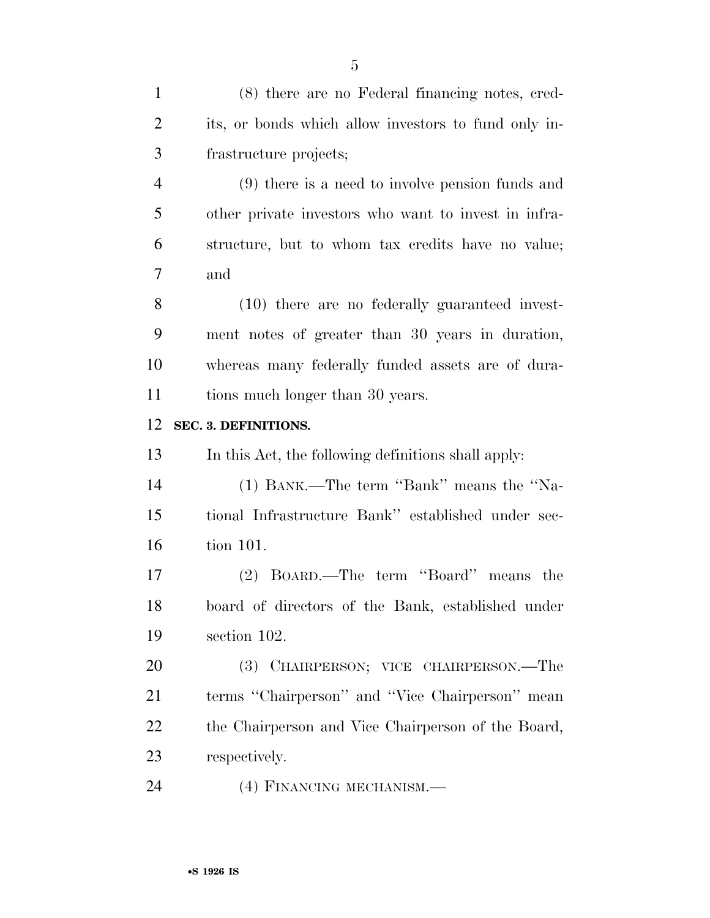| $\mathbf{1}$   | (8) there are no Federal financing notes, cred-      |
|----------------|------------------------------------------------------|
| $\overline{2}$ | its, or bonds which allow investors to fund only in- |
| 3              | frastructure projects;                               |
| $\overline{4}$ | $(9)$ there is a need to involve pension funds and   |
| 5              | other private investors who want to invest in infra- |
| 6              | structure, but to whom tax credits have no value;    |
| 7              | and                                                  |
| 8              | (10) there are no federally guaranteed invest-       |
| 9              | ment notes of greater than 30 years in duration,     |
| 10             | whereas many federally funded assets are of dura-    |
| 11             | tions much longer than 30 years.                     |
| 12             | SEC. 3. DEFINITIONS.                                 |
| 13             | In this Act, the following definitions shall apply:  |
| 14             | (1) BANK.—The term "Bank" means the "Na-             |
| 15             | tional Infrastructure Bank" established under sec-   |
| 16             | tion 101.                                            |
| 17             | (2) BOARD.—The term "Board" means the                |
| 18             | board of directors of the Bank, established under    |
| 19             | section 102.                                         |
| 20             | (3) CHAIRPERSON; VICE CHAIRPERSON.—The               |
| 21             | terms "Chairperson" and "Vice Chairperson" mean      |
| 22             | the Chairperson and Vice Chairperson of the Board,   |
| 23             | respectively.                                        |

(4) FINANCING MECHANISM.—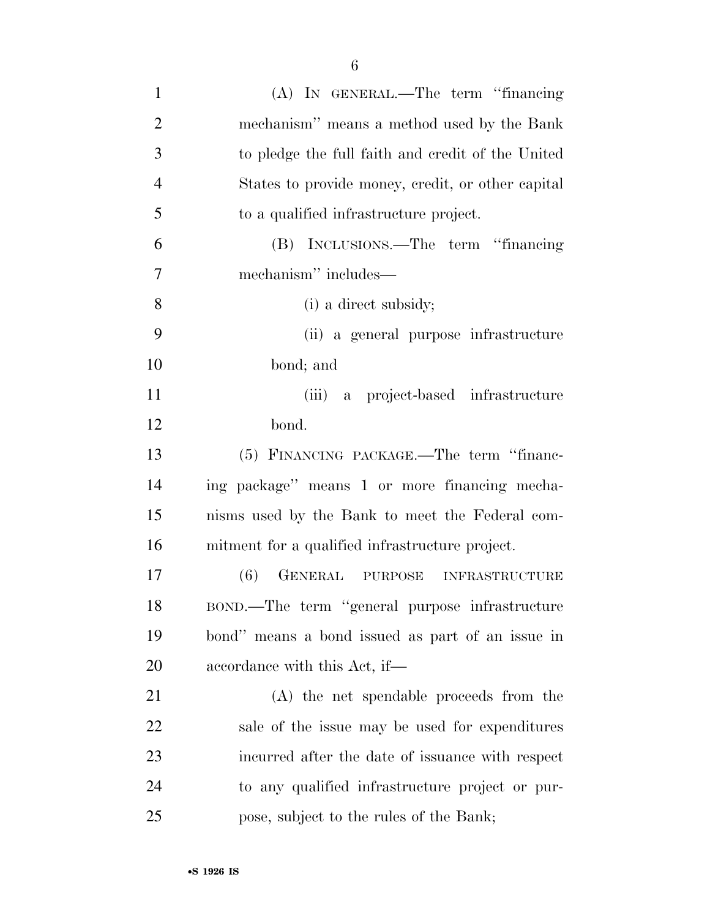| $\mathbf{1}$   | (A) IN GENERAL.—The term "financing               |
|----------------|---------------------------------------------------|
| $\overline{2}$ | mechanism" means a method used by the Bank        |
| 3              | to pledge the full faith and credit of the United |
| $\overline{4}$ | States to provide money, credit, or other capital |
| 5              | to a qualified infrastructure project.            |
| 6              | (B) INCLUSIONS.—The term "financing"              |
| 7              | mechanism" includes—                              |
| 8              | (i) a direct subsidy;                             |
| 9              | (ii) a general purpose infrastructure             |
| 10             | bond; and                                         |
| 11             | (iii) a project-based infrastructure              |
| 12             | bond.                                             |
| 13             | (5) FINANCING PACKAGE.—The term "financ-          |
| 14             | ing package" means 1 or more financing mecha-     |
| 15             | nisms used by the Bank to meet the Federal com-   |
| 16             | mitment for a qualified infrastructure project.   |
| 17             | (6)<br>GENERAL PURPOSE INFRASTRUCTURE             |
| 18             | BOND.—The term "general purpose infrastructure    |
| 19             | bond" means a bond issued as part of an issue in  |
| 20             | accordance with this Act, if—                     |
| 21             | (A) the net spendable proceeds from the           |
| 22             | sale of the issue may be used for expenditures    |
| 23             | incurred after the date of issuance with respect  |
| 24             | to any qualified infrastructure project or pur-   |
| 25             | pose, subject to the rules of the Bank;           |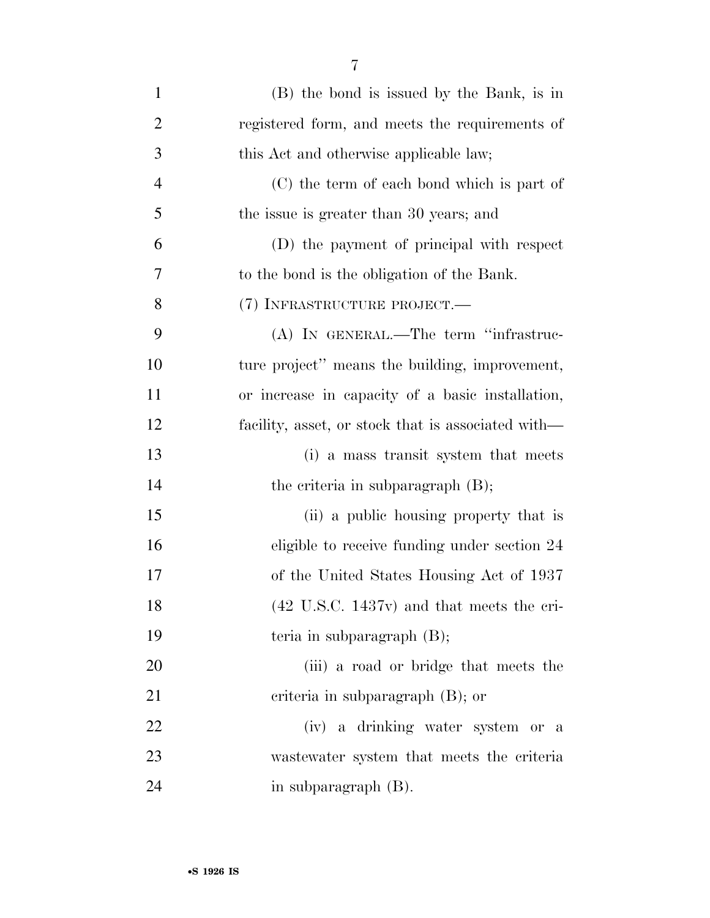| $\mathbf{1}$   | (B) the bond is issued by the Bank, is in                    |
|----------------|--------------------------------------------------------------|
| $\overline{2}$ | registered form, and meets the requirements of               |
| 3              | this Act and otherwise applicable law;                       |
| $\overline{4}$ | (C) the term of each bond which is part of                   |
| 5              | the issue is greater than 30 years; and                      |
| 6              | (D) the payment of principal with respect                    |
| 7              | to the bond is the obligation of the Bank.                   |
| 8              | (7) INFRASTRUCTURE PROJECT.—                                 |
| 9              | (A) IN GENERAL.—The term "infrastruc-                        |
| 10             | ture project" means the building, improvement,               |
| 11             | or increase in capacity of a basic installation,             |
| 12             | facility, asset, or stock that is associated with—           |
| 13             | (i) a mass transit system that meets                         |
| 14             | the criteria in subparagraph $(B)$ ;                         |
| 15             | (ii) a public housing property that is                       |
| 16             | eligible to receive funding under section 24                 |
| 17             | of the United States Housing Act of 1937                     |
| 18             | $(42 \text{ U.S.C. } 1437 \text{v})$ and that meets the cri- |
| 19             | teria in subparagraph $(B)$ ;                                |
| 20             | (iii) a road or bridge that meets the                        |
| 21             | criteria in subparagraph $(B)$ ; or                          |
| 22             | (iv) a drinking water system or a                            |
| 23             | was tewater system that meets the criteria                   |
| 24             | in subparagraph (B).                                         |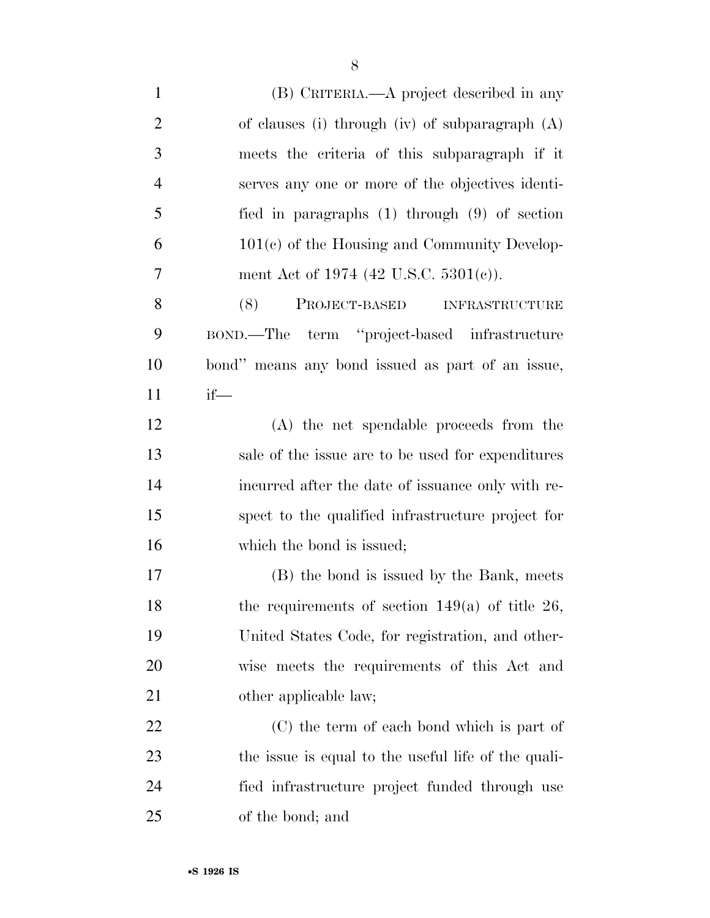(B) CRITERIA.—A project described in any of clauses (i) through (iv) of subparagraph (A) meets the criteria of this subparagraph if it serves any one or more of the objectives identi- fied in paragraphs (1) through (9) of section 101(c) of the Housing and Community Develop-7 ment Act of 1974 (42 U.S.C. 5301(c)). (8) PROJECT-BASED INFRASTRUCTURE BOND.—The term ''project-based infrastructure bond'' means any bond issued as part of an issue, if— (A) the net spendable proceeds from the sale of the issue are to be used for expenditures incurred after the date of issuance only with re- spect to the qualified infrastructure project for 16 which the bond is issued; (B) the bond is issued by the Bank, meets 18 the requirements of section  $149(a)$  of title 26, United States Code, for registration, and other- wise meets the requirements of this Act and 21 other applicable law; (C) the term of each bond which is part of the issue is equal to the useful life of the quali- fied infrastructure project funded through use of the bond; and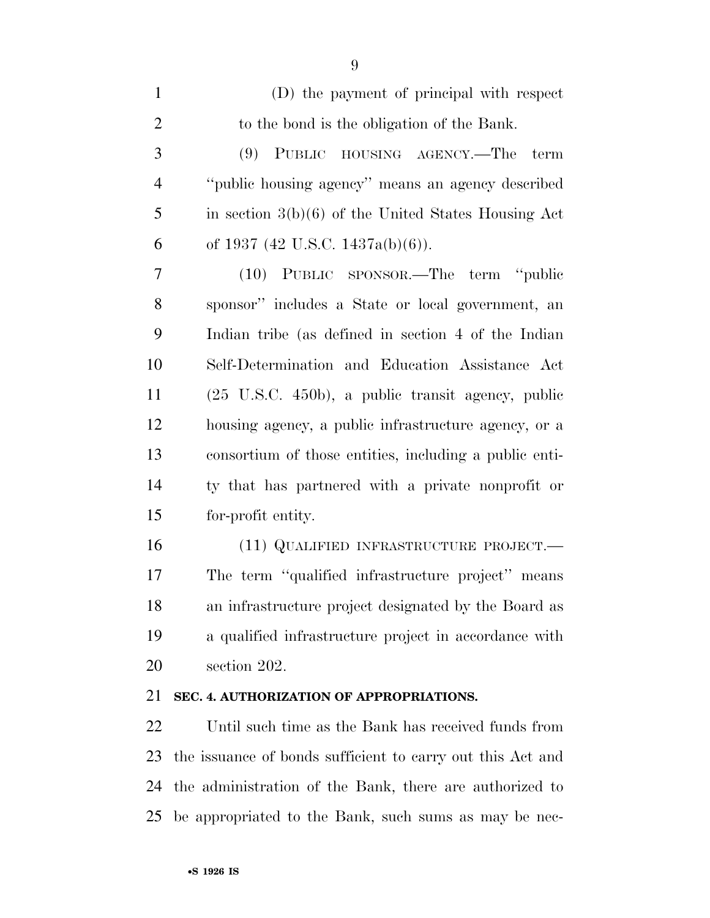| $\mathbf{1}$   | (D) the payment of principal with respect                     |
|----------------|---------------------------------------------------------------|
| $\mathfrak{2}$ | to the bond is the obligation of the Bank.                    |
| 3              | (9) PUBLIC HOUSING AGENCY.—The<br>term                        |
| $\overline{4}$ | "public housing agency" means an agency described             |
| 5              | in section $3(b)(6)$ of the United States Housing Act         |
| 6              | of 1937 (42 U.S.C. 1437a(b)(6)).                              |
| 7              | (10) PUBLIC SPONSOR.—The term "public                         |
| 8              | sponsor" includes a State or local government, an             |
| 9              | Indian tribe (as defined in section 4 of the Indian           |
| 10             | Self-Determination and Education Assistance Act               |
| 11             | $(25 \text{ U.S.C. } 450b)$ , a public transit agency, public |
| 12             | housing agency, a public infrastructure agency, or a          |
| 13             | consortium of those entities, including a public enti-        |
| 14             | ty that has partnered with a private nonprofit or             |
| 15             | for-profit entity.                                            |
| 16             | (11) QUALIFIED INFRASTRUCTURE PROJECT.—                       |
| 17             | The term "qualified infrastructure project" means             |

 an infrastructure project designated by the Board as a qualified infrastructure project in accordance with section 202.

### **SEC. 4. AUTHORIZATION OF APPROPRIATIONS.**

 Until such time as the Bank has received funds from the issuance of bonds sufficient to carry out this Act and the administration of the Bank, there are authorized to be appropriated to the Bank, such sums as may be nec-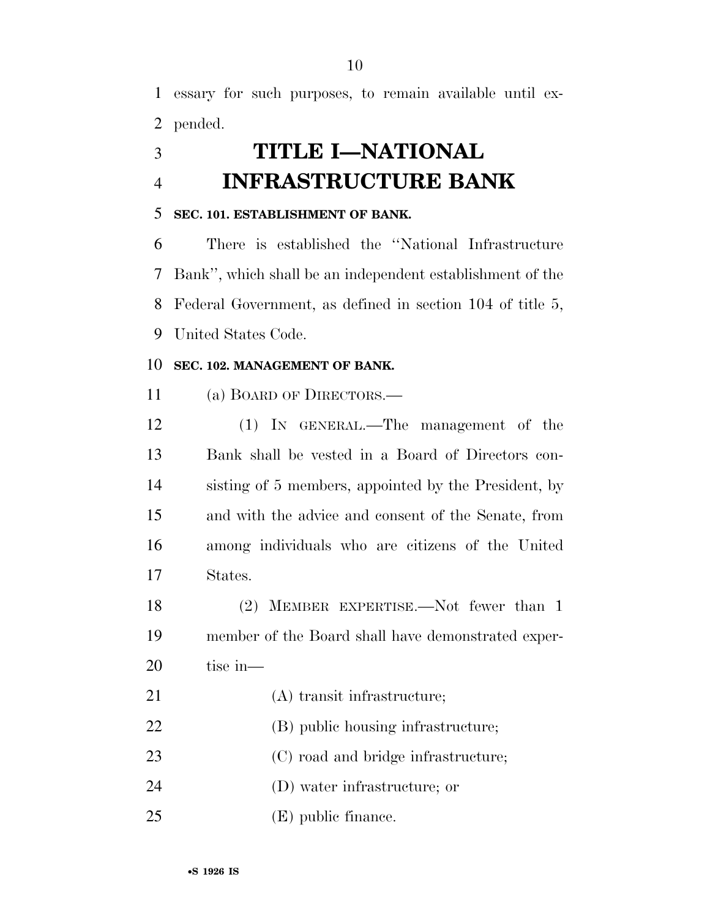essary for such purposes, to remain available until ex-pended.

# **TITLE I—NATIONAL INFRASTRUCTURE BANK**

### **SEC. 101. ESTABLISHMENT OF BANK.**

 There is established the ''National Infrastructure Bank'', which shall be an independent establishment of the Federal Government, as defined in section 104 of title 5, United States Code.

### **SEC. 102. MANAGEMENT OF BANK.**

(a) BOARD OF DIRECTORS.—

 (1) IN GENERAL.—The management of the Bank shall be vested in a Board of Directors con- sisting of 5 members, appointed by the President, by and with the advice and consent of the Senate, from among individuals who are citizens of the United States.

 (2) MEMBER EXPERTISE.—Not fewer than 1 member of the Board shall have demonstrated exper-tise in—

- 22 (B) public housing infrastructure;
- 23 (C) road and bridge infrastructure;
- (D) water infrastructure; or
- (E) public finance.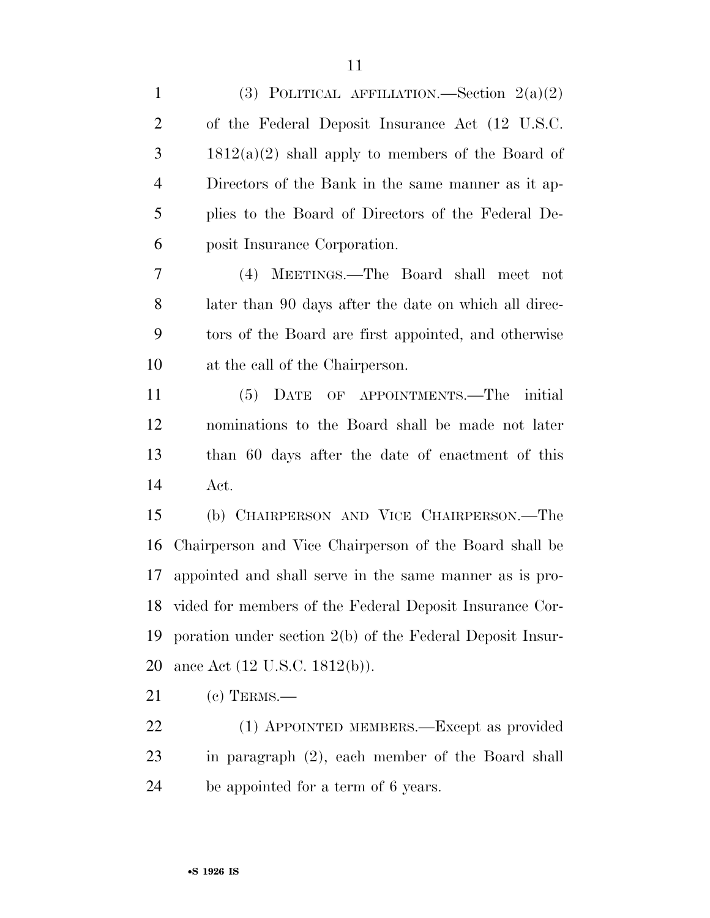| $\mathbf{1}$   | (3) POLITICAL AFFILIATION.—Section $2(a)(2)$              |
|----------------|-----------------------------------------------------------|
| $\overline{2}$ | of the Federal Deposit Insurance Act (12 U.S.C.           |
| 3              | $1812(a)(2)$ shall apply to members of the Board of       |
| $\overline{4}$ | Directors of the Bank in the same manner as it ap-        |
| 5              | plies to the Board of Directors of the Federal De-        |
| 6              | posit Insurance Corporation.                              |
| 7              | (4) MEETINGS.—The Board shall meet not                    |
| 8              | later than 90 days after the date on which all direc-     |
| 9              | tors of the Board are first appointed, and otherwise      |
| 10             | at the call of the Chairperson.                           |
| 11             | OF APPOINTMENTS.—The<br>(5)<br>DATE<br>initial            |
| 12             | nominations to the Board shall be made not later          |
| 13             | than 60 days after the date of enactment of this          |
| 14             | Act.                                                      |
| 15             | (b) CHAIRPERSON AND VICE CHAIRPERSON.—The                 |
| 16             | Chairperson and Vice Chairperson of the Board shall be    |
| 17             | appointed and shall serve in the same manner as is pro-   |
| 18             | vided for members of the Federal Deposit Insurance Cor-   |
| 19             | poration under section 2(b) of the Federal Deposit Insur- |
| 20             | ance Act $(12 \text{ U.S.C. } 1812(b))$ .                 |
| 21             | $(c)$ TERMS.—                                             |
| 22             | (1) APPOINTED MEMBERS.—Except as provided                 |
| 23             | in paragraph (2), each member of the Board shall          |

be appointed for a term of 6 years.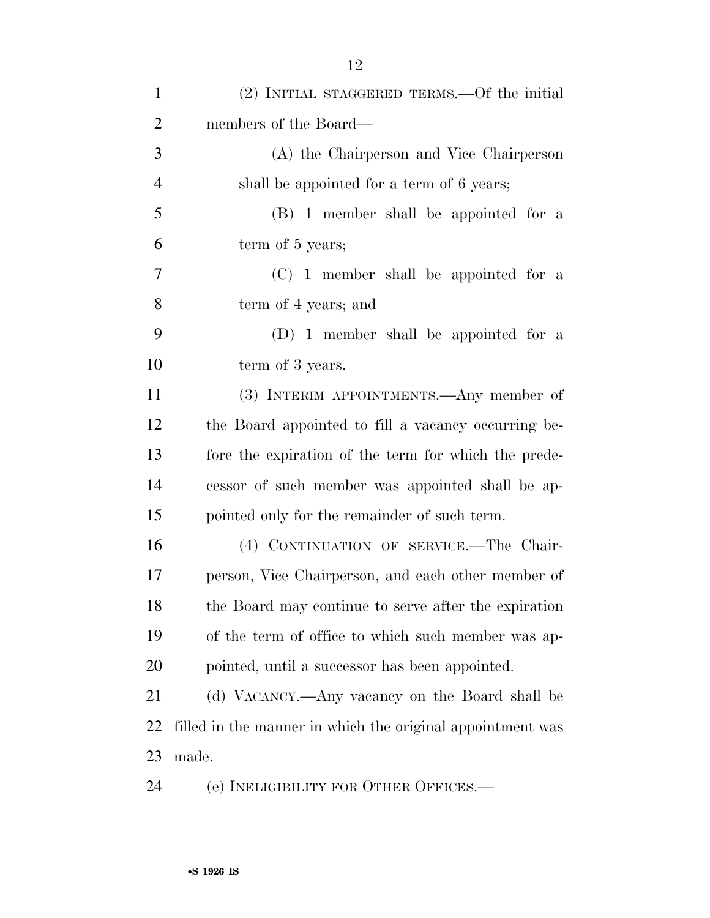| $\mathbf{1}$   | (2) INITIAL STAGGERED TERMS.—Of the initial                |
|----------------|------------------------------------------------------------|
| $\overline{2}$ | members of the Board—                                      |
| 3              | (A) the Chairperson and Vice Chairperson                   |
| $\overline{4}$ | shall be appointed for a term of 6 years;                  |
| 5              | (B) 1 member shall be appointed for a                      |
| 6              | term of 5 years;                                           |
| 7              | (C) 1 member shall be appointed for a                      |
| 8              | term of 4 years; and                                       |
| 9              | (D) 1 member shall be appointed for a                      |
| 10             | term of 3 years.                                           |
| 11             | (3) INTERIM APPOINTMENTS.—Any member of                    |
| 12             | the Board appointed to fill a vacancy occurring be-        |
| 13             | fore the expiration of the term for which the prede-       |
| 14             | cessor of such member was appointed shall be ap-           |
| 15             | pointed only for the remainder of such term.               |
| 16             | (4) CONTINUATION OF SERVICE.—The Chair-                    |
| 17             | person, Vice Chairperson, and each other member of         |
| 18             | the Board may continue to serve after the expiration       |
| 19             | of the term of office to which such member was ap-         |
| 20             | pointed, until a successor has been appointed.             |
| 21             | (d) VACANCY.—Any vacancy on the Board shall be             |
| 22             | filled in the manner in which the original appointment was |
| 23             | made.                                                      |
| 24             | (e) INELIGIBILITY FOR OTHER OFFICES.—                      |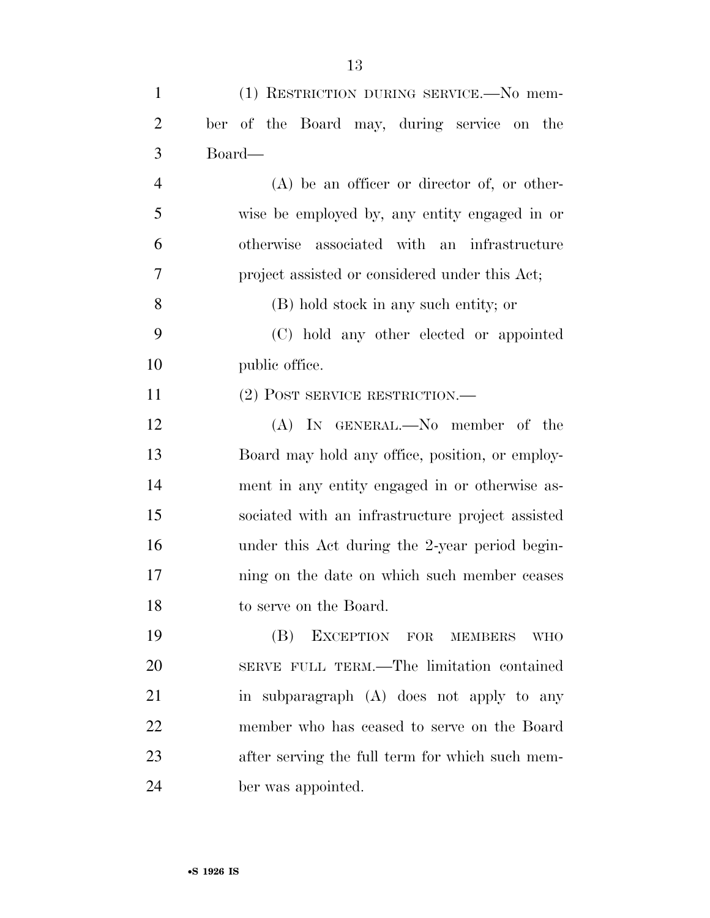| $\mathbf{1}$   | (1) RESTRICTION DURING SERVICE.—No mem-          |
|----------------|--------------------------------------------------|
| $\overline{2}$ | ber of the Board may, during service on the      |
| 3              | Board—                                           |
| $\overline{4}$ | $(A)$ be an officer or director of, or other-    |
| 5              | wise be employed by, any entity engaged in or    |
| 6              | otherwise associated with an infrastructure      |
| 7              | project assisted or considered under this Act;   |
| 8              | (B) hold stock in any such entity; or            |
| 9              | (C) hold any other elected or appointed          |
| 10             | public office.                                   |
| 11             | $(2)$ POST SERVICE RESTRICTION.—                 |
| 12             | (A) IN GENERAL.—No member of the                 |
| 13             | Board may hold any office, position, or employ-  |
| 14             | ment in any entity engaged in or otherwise as-   |
| 15             | sociated with an infrastructure project assisted |
| 16             | under this Act during the 2-year period begin-   |
| 17             | ning on the date on which such member ceases     |
| 18             | to serve on the Board.                           |
| 19             | (B)<br>EXCEPTION FOR MEMBERS<br><b>WHO</b>       |
| 20             | SERVE FULL TERM.—The limitation contained        |
| 21             | in subparagraph (A) does not apply to any        |
| 22             | member who has ceased to serve on the Board      |
| 23             | after serving the full term for which such mem-  |
| 24             | ber was appointed.                               |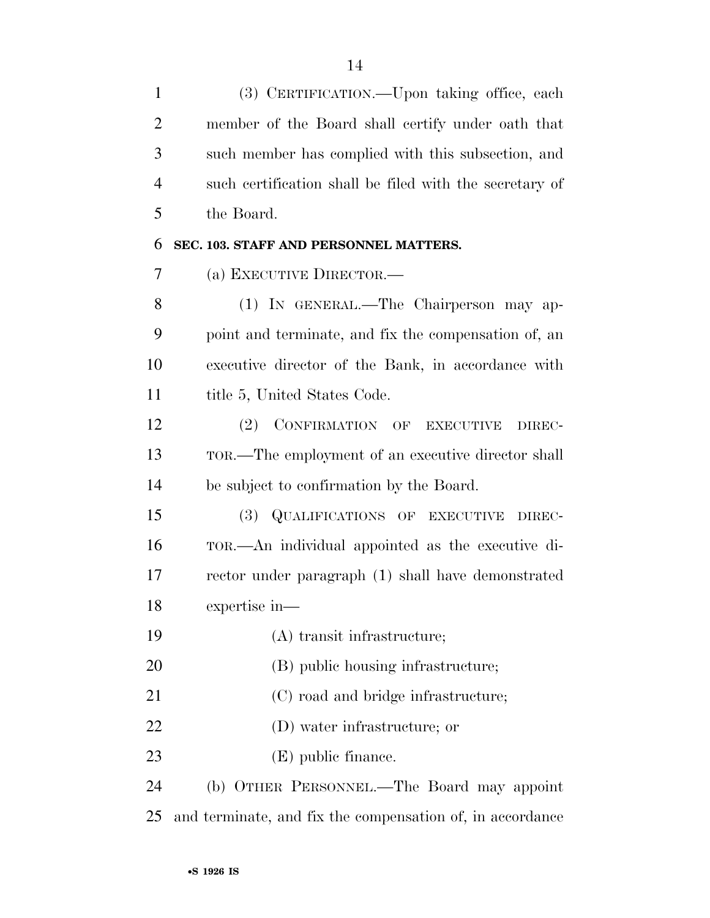(3) CERTIFICATION.—Upon taking office, each member of the Board shall certify under oath that such member has complied with this subsection, and such certification shall be filed with the secretary of the Board.

### **SEC. 103. STAFF AND PERSONNEL MATTERS.**

(a) EXECUTIVE DIRECTOR.—

 (1) IN GENERAL.—The Chairperson may ap- point and terminate, and fix the compensation of, an executive director of the Bank, in accordance with 11 title 5, United States Code.

 (2) CONFIRMATION OF EXECUTIVE DIREC- TOR.—The employment of an executive director shall be subject to confirmation by the Board.

 (3) QUALIFICATIONS OF EXECUTIVE DIREC- TOR.—An individual appointed as the executive di- rector under paragraph (1) shall have demonstrated expertise in—

- (A) transit infrastructure;
- 20 (B) public housing infrastructure;
- 21 (C) road and bridge infrastructure;
- (D) water infrastructure; or
- (E) public finance.

 (b) OTHER PERSONNEL.—The Board may appoint and terminate, and fix the compensation of, in accordance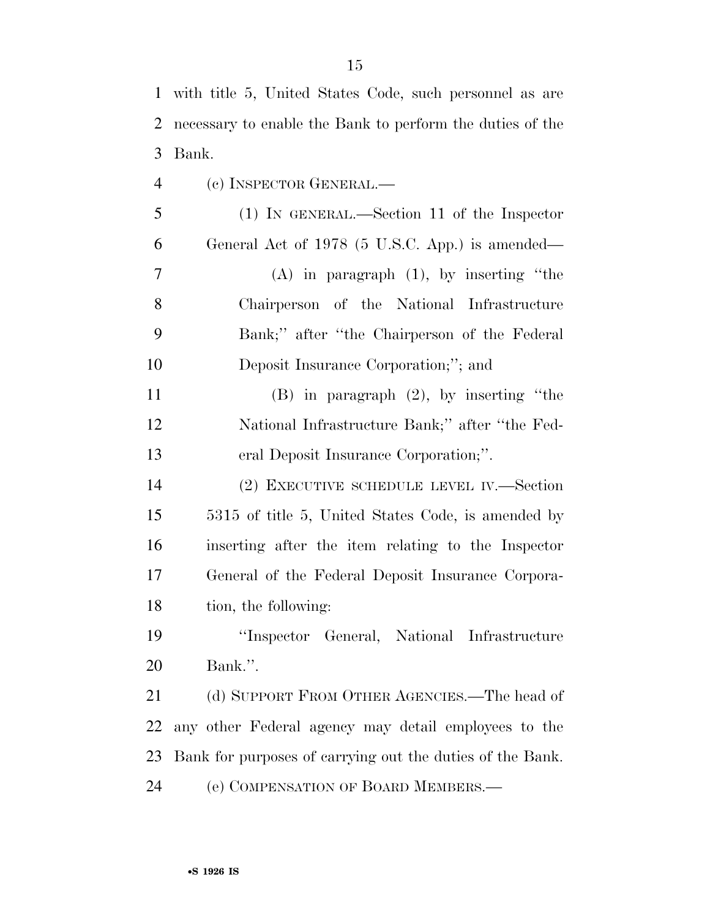| $\mathbf{1}$   | with title 5, United States Code, such personnel as are   |
|----------------|-----------------------------------------------------------|
| $\overline{2}$ | necessary to enable the Bank to perform the duties of the |
| 3              | Bank.                                                     |
| $\overline{4}$ | (c) INSPECTOR GENERAL.-                                   |
| 5              | $(1)$ IN GENERAL.—Section 11 of the Inspector             |
| 6              | General Act of 1978 (5 U.S.C. App.) is amended—           |
| $\overline{7}$ | $(A)$ in paragraph $(1)$ , by inserting "the              |
| 8              | Chairperson of the National Infrastructure                |
| 9              | Bank;" after "the Chairperson of the Federal              |
| 10             | Deposit Insurance Corporation;"; and                      |
| 11             | $(B)$ in paragraph $(2)$ , by inserting "the              |
| 12             | National Infrastructure Bank;" after "the Fed-            |
| 13             | eral Deposit Insurance Corporation;".                     |
| 14             | (2) EXECUTIVE SCHEDULE LEVEL IV.—Section                  |
| 15             | 5315 of title 5, United States Code, is amended by        |
| 16             | inserting after the item relating to the Inspector        |
| 17             | General of the Federal Deposit Insurance Corpora-         |
| 18             | tion, the following:                                      |
| 19             | "Inspector General, National Infrastructure               |
| 20             | Bank.".                                                   |
| 21             | (d) SUPPORT FROM OTHER AGENCIES.—The head of              |
| 22             | any other Federal agency may detail employees to the      |
|                |                                                           |

(e) COMPENSATION OF BOARD MEMBERS.—

Bank for purposes of carrying out the duties of the Bank.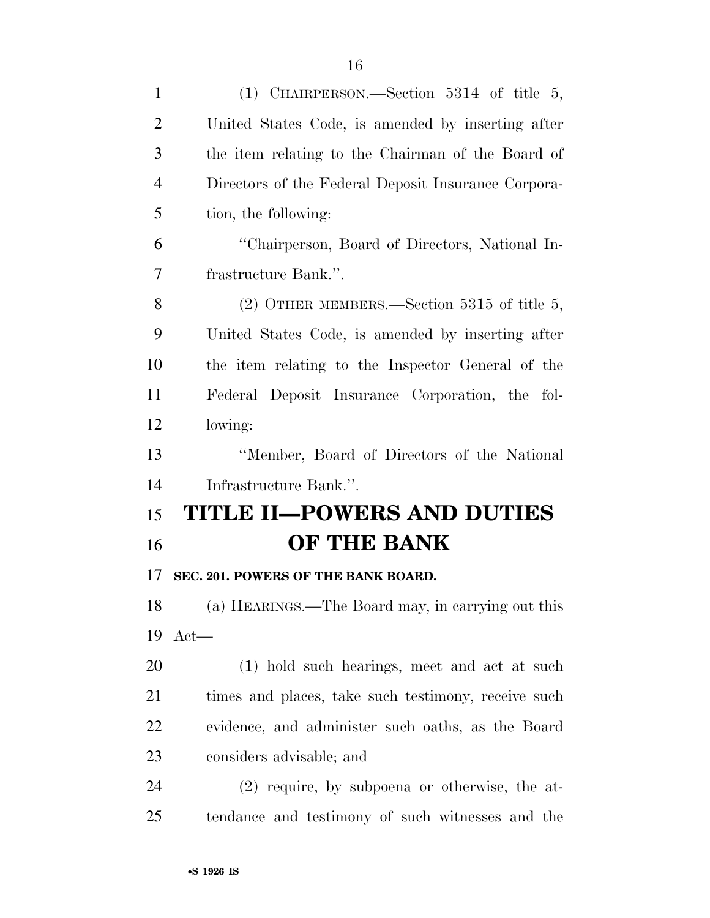| $\mathbf{1}$   | (1) CHAIRPERSON.—Section 5314 of title 5,           |
|----------------|-----------------------------------------------------|
| $\overline{2}$ | United States Code, is amended by inserting after   |
| 3              | the item relating to the Chairman of the Board of   |
| $\overline{4}$ | Directors of the Federal Deposit Insurance Corpora- |
| 5              | tion, the following:                                |
| 6              | "Chairperson, Board of Directors, National In-      |
| 7              | frastructure Bank.".                                |
| 8              | $(2)$ OTHER MEMBERS.—Section 5315 of title 5,       |
| 9              | United States Code, is amended by inserting after   |
| 10             | the item relating to the Inspector General of the   |
| 11             | Federal Deposit Insurance Corporation, the fol-     |
| 12             | lowing:                                             |
| 13             | "Member, Board of Directors of the National         |
| 14             | Infrastructure Bank.".                              |
| 15             | <b>TITLE II-POWERS AND DUTIES</b>                   |
| 16             | OF THE BANK                                         |
| 17             | SEC. 201. POWERS OF THE BANK BOARD.                 |
| 18             | (a) HEARINGS.—The Board may, in carrying out this   |
| 19             | $Act$ —                                             |
| 20             | (1) hold such hearings, meet and act at such        |
| 21             | times and places, take such testimony, receive such |
| 22             | evidence, and administer such oaths, as the Board   |
| 23             | considers advisable; and                            |
| 24             | $(2)$ require, by subpoena or otherwise, the at-    |
| 25             | tendance and testimony of such witnesses and the    |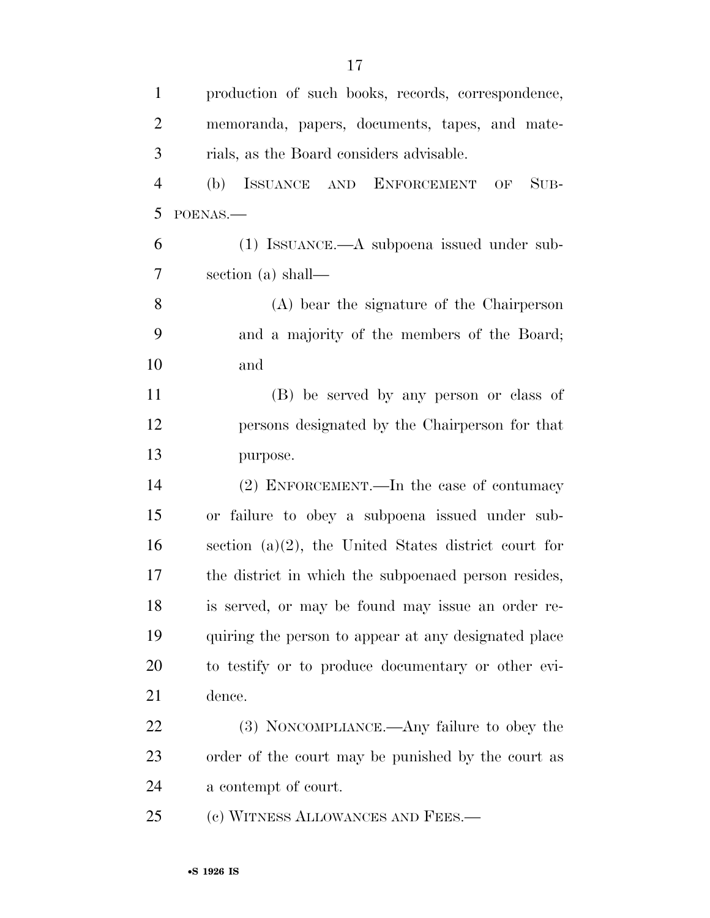| $\mathbf{1}$   | production of such books, records, correspondence,      |
|----------------|---------------------------------------------------------|
| $\overline{2}$ | memoranda, papers, documents, tapes, and mate-          |
| 3              | rials, as the Board considers advisable.                |
| $\overline{4}$ | ISSUANCE AND ENFORCEMENT<br>$SUB-$<br>(b)<br>OF         |
| 5              | POENAS.-                                                |
| 6              | $(1)$ ISSUANCE.—A subpoena issued under sub-            |
| 7              | section (a) shall—                                      |
| 8              | (A) bear the signature of the Chairperson               |
| 9              | and a majority of the members of the Board;             |
| 10             | and                                                     |
| 11             | (B) be served by any person or class of                 |
| 12             | persons designated by the Chairperson for that          |
| 13             | purpose.                                                |
| 14             | (2) ENFORCEMENT.—In the case of contumacy               |
| 15             | or failure to obey a subpoena issued under sub-         |
| 16             | section $(a)(2)$ , the United States district court for |
| 17             | the district in which the subpoenaed person resides,    |
| 18             | is served, or may be found may issue an order re-       |
| 19             | quiring the person to appear at any designated place    |
| 20             | to testify or to produce documentary or other evi-      |
| 21             | dence.                                                  |
| 22             | (3) NONCOMPLIANCE.—Any failure to obey the              |
| 23             | order of the court may be punished by the court as      |
| 24             | a contempt of court.                                    |
| 25             | (c) WITNESS ALLOWANCES AND FEES.—                       |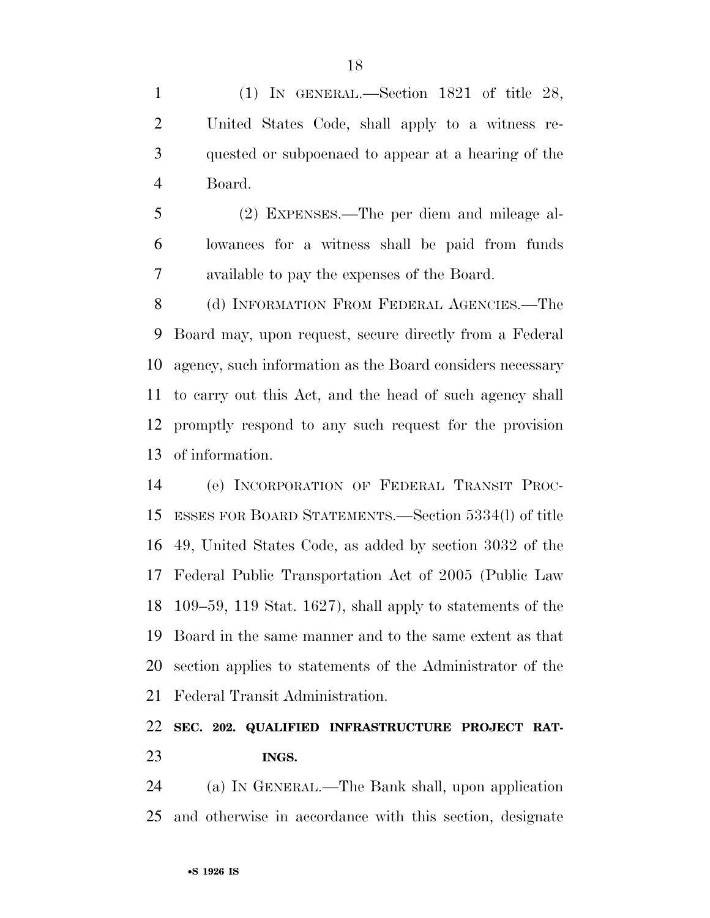(1) IN GENERAL.—Section 1821 of title 28, United States Code, shall apply to a witness re- quested or subpoenaed to appear at a hearing of the Board.

 (2) EXPENSES.—The per diem and mileage al- lowances for a witness shall be paid from funds available to pay the expenses of the Board.

8 (d) INFORMATION FROM FEDERAL AGENCIES.—The Board may, upon request, secure directly from a Federal agency, such information as the Board considers necessary to carry out this Act, and the head of such agency shall promptly respond to any such request for the provision of information.

 (e) INCORPORATION OF FEDERAL TRANSIT PROC- ESSES FOR BOARD STATEMENTS.—Section 5334(l) of title 49, United States Code, as added by section 3032 of the Federal Public Transportation Act of 2005 (Public Law 109–59, 119 Stat. 1627), shall apply to statements of the Board in the same manner and to the same extent as that section applies to statements of the Administrator of the Federal Transit Administration.

### **SEC. 202. QUALIFIED INFRASTRUCTURE PROJECT RAT-INGS.**

 (a) IN GENERAL.—The Bank shall, upon application and otherwise in accordance with this section, designate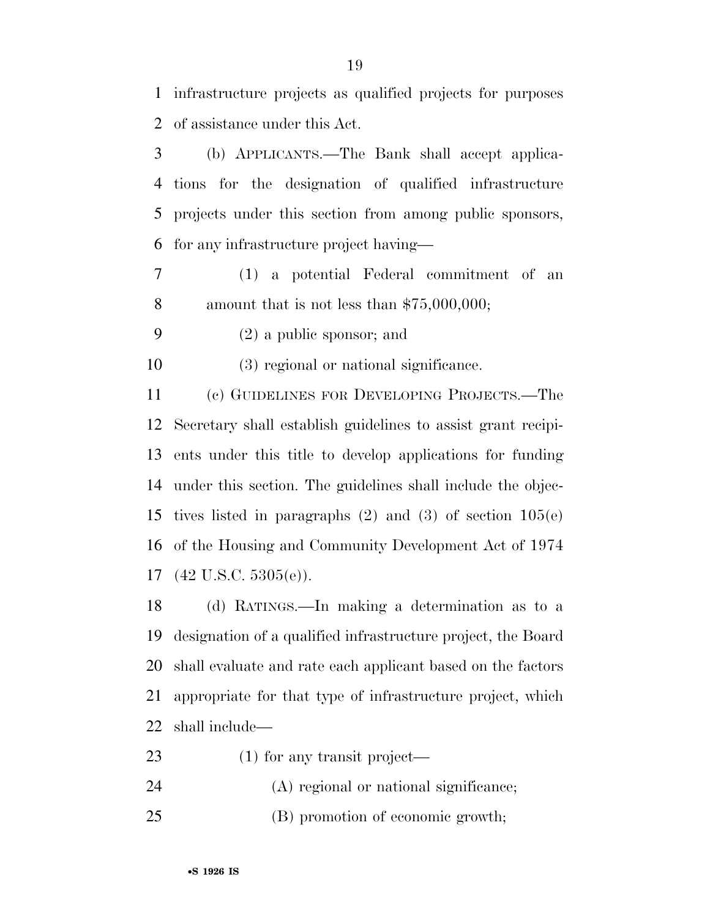infrastructure projects as qualified projects for purposes of assistance under this Act.

 (b) APPLICANTS.—The Bank shall accept applica- tions for the designation of qualified infrastructure projects under this section from among public sponsors, for any infrastructure project having—

- (1) a potential Federal commitment of an amount that is not less than \$75,000,000;
- (2) a public sponsor; and

(3) regional or national significance.

 (c) GUIDELINES FOR DEVELOPING PROJECTS.—The Secretary shall establish guidelines to assist grant recipi- ents under this title to develop applications for funding under this section. The guidelines shall include the objec- tives listed in paragraphs (2) and (3) of section 105(e) of the Housing and Community Development Act of 1974 (42 U.S.C. 5305(e)).

 (d) RATINGS.—In making a determination as to a designation of a qualified infrastructure project, the Board shall evaluate and rate each applicant based on the factors appropriate for that type of infrastructure project, which shall include—

- (1) for any transit project—
- (A) regional or national significance;
- (B) promotion of economic growth;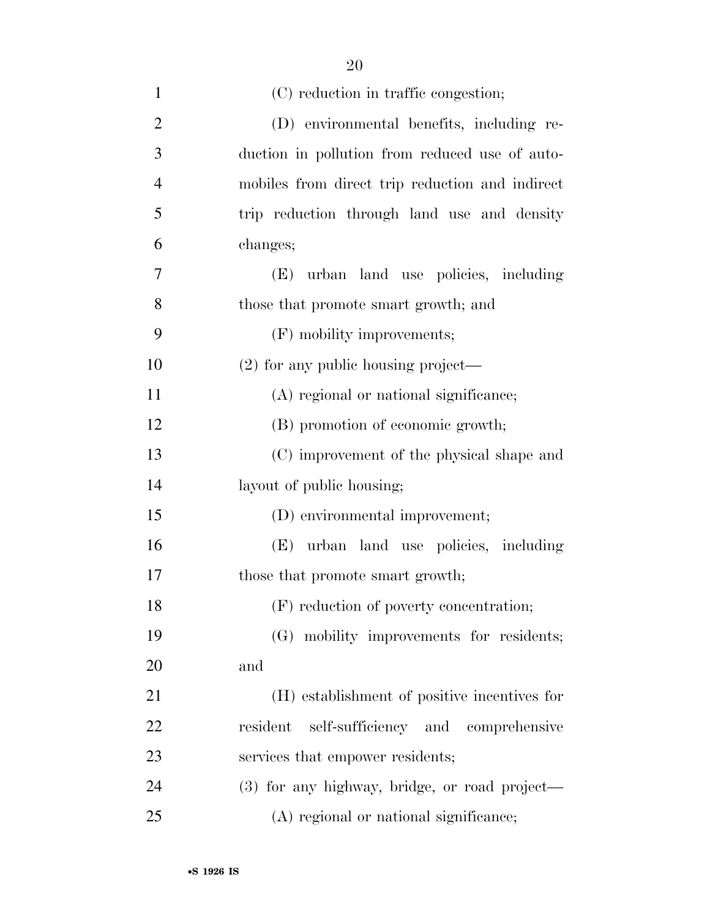| $\mathbf{1}$   | (C) reduction in traffic congestion;            |
|----------------|-------------------------------------------------|
| $\overline{2}$ | (D) environmental benefits, including re-       |
| 3              | duction in pollution from reduced use of auto-  |
| $\overline{4}$ | mobiles from direct trip reduction and indirect |
| 5              | trip reduction through land use and density     |
| 6              | changes;                                        |
| 7              | urban land use policies, including<br>(E)       |
| 8              | those that promote smart growth; and            |
| 9              | (F) mobility improvements;                      |
| 10             | $(2)$ for any public housing project—           |
| 11             | (A) regional or national significance;          |
| 12             | (B) promotion of economic growth;               |
| 13             | (C) improvement of the physical shape and       |
| 14             | layout of public housing;                       |
| 15             | (D) environmental improvement;                  |
| 16             | (E) urban land use policies, including          |
| 17             | those that promote smart growth;                |
| 18             | (F) reduction of poverty concentration;         |
| 19             | (G) mobility improvements for residents;        |
| <b>20</b>      | and                                             |
| 21             | (H) establishment of positive incentives for    |
| 22             | resident self-sufficiency and comprehensive     |
| 23             | services that empower residents;                |
| 24             | (3) for any highway, bridge, or road project—   |
| 25             | (A) regional or national significance;          |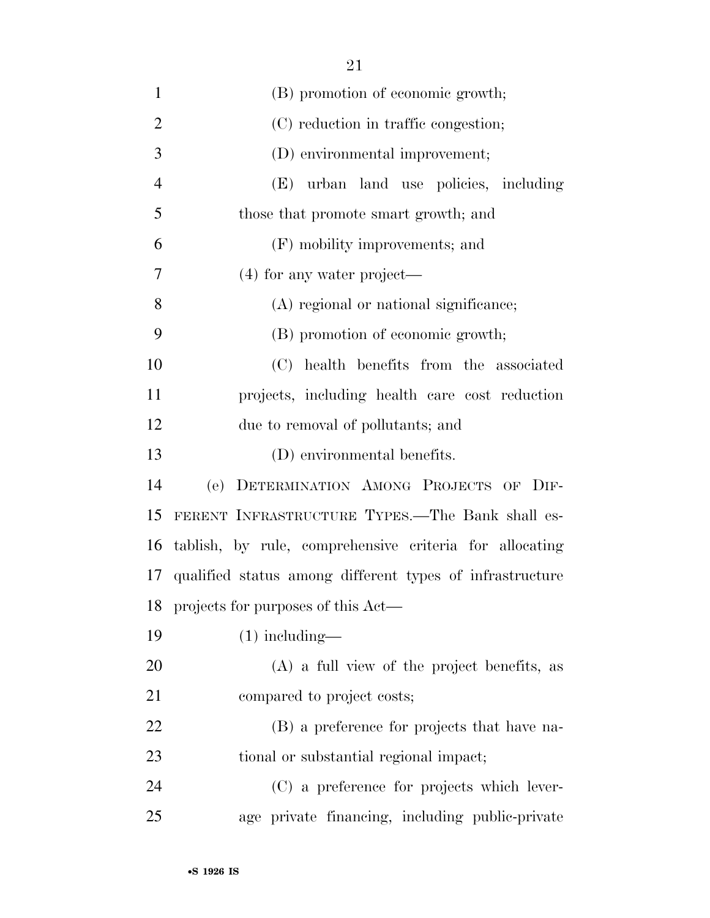| $\mathbf{1}$   | (B) promotion of economic growth;                           |
|----------------|-------------------------------------------------------------|
| $\overline{2}$ | (C) reduction in traffic congestion;                        |
| 3              | (D) environmental improvement;                              |
| $\overline{4}$ | (E) urban land use policies, including                      |
| 5              | those that promote smart growth; and                        |
| 6              | (F) mobility improvements; and                              |
| 7              | $(4)$ for any water project—                                |
| 8              | (A) regional or national significance;                      |
| 9              | (B) promotion of economic growth;                           |
| 10             | (C) health benefits from the associated                     |
| 11             | projects, including health care cost reduction              |
| 12             | due to removal of pollutants; and                           |
| 13             | (D) environmental benefits.                                 |
| 14             | (e)<br>DETERMINATION AMONG PROJECTS OF DIF-                 |
| 15             | FERENT INFRASTRUCTURE TYPES.—The Bank shall es-             |
| 16             | tablish, by rule, comprehensive criteria for allocating     |
|                | 17 qualified status among different types of infrastructure |
| 18             | projects for purposes of this Act—                          |
| 19             | $(1)$ including—                                            |
| 20             | $(A)$ a full view of the project benefits, as               |
| 21             | compared to project costs;                                  |
| 22             | (B) a preference for projects that have na-                 |
| 23             | tional or substantial regional impact;                      |
| 24             | (C) a preference for projects which lever-                  |
| 25             | age private financing, including public-private             |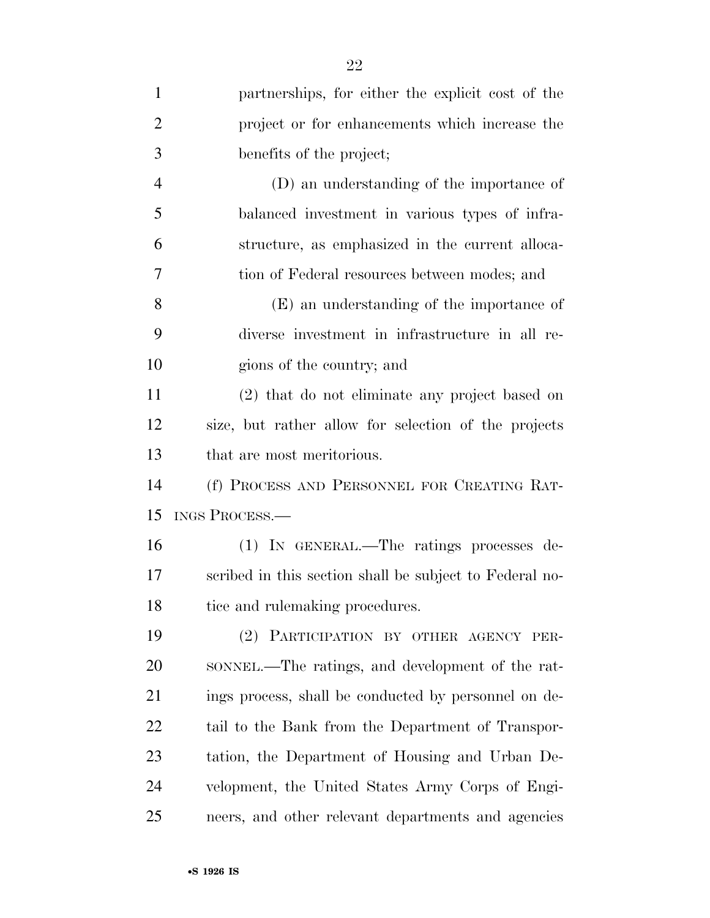| $\mathbf{1}$   | partnerships, for either the explicit cost of the       |
|----------------|---------------------------------------------------------|
| $\overline{2}$ | project or for enhancements which increase the          |
| 3              | benefits of the project;                                |
| $\overline{4}$ | (D) an understanding of the importance of               |
| 5              | balanced investment in various types of infra-          |
| 6              | structure, as emphasized in the current alloca-         |
| 7              | tion of Federal resources between modes; and            |
| 8              | (E) an understanding of the importance of               |
| 9              | diverse investment in infrastructure in all re-         |
| 10             | gions of the country; and                               |
| 11             | (2) that do not eliminate any project based on          |
| 12             | size, but rather allow for selection of the projects    |
| 13             | that are most meritorious.                              |
| 14             | (f) PROCESS AND PERSONNEL FOR CREATING RAT-             |
| 15             | <b>INGS PROCESS.—</b>                                   |
| 16             | (1) IN GENERAL.—The ratings processes de-               |
| 17             | scribed in this section shall be subject to Federal no- |
| 18             | tice and rulemaking procedures.                         |
| 19             | (2) PARTICIPATION BY OTHER AGENCY PER-                  |
| 20             | SONNEL.—The ratings, and development of the rat-        |
| 21             | ings process, shall be conducted by personnel on de-    |
| 22             | tail to the Bank from the Department of Transpor-       |
| 23             | tation, the Department of Housing and Urban De-         |
| 24             | velopment, the United States Army Corps of Engi-        |
| 25             | neers, and other relevant departments and agencies      |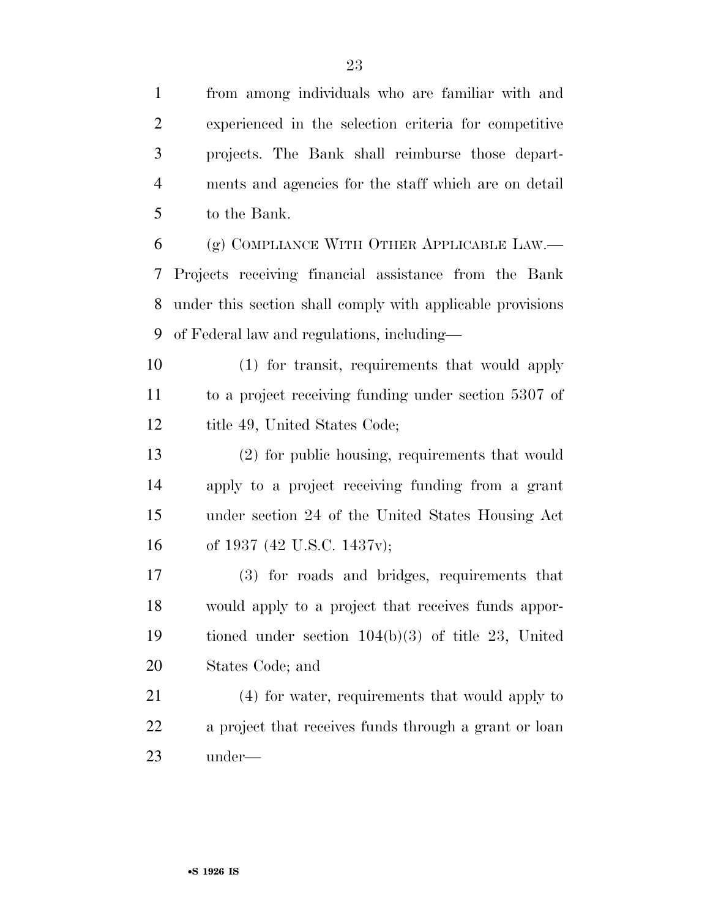from among individuals who are familiar with and experienced in the selection criteria for competitive projects. The Bank shall reimburse those depart-

 ments and agencies for the staff which are on detail to the Bank.

 (g) COMPLIANCE WITH OTHER APPLICABLE LAW.— Projects receiving financial assistance from the Bank under this section shall comply with applicable provisions of Federal law and regulations, including—

 (1) for transit, requirements that would apply to a project receiving funding under section 5307 of 12 title 49, United States Code;

 (2) for public housing, requirements that would apply to a project receiving funding from a grant under section 24 of the United States Housing Act of 1937 (42 U.S.C. 1437v);

 (3) for roads and bridges, requirements that would apply to a project that receives funds appor- tioned under section 104(b)(3) of title 23, United States Code; and

 (4) for water, requirements that would apply to a project that receives funds through a grant or loan under—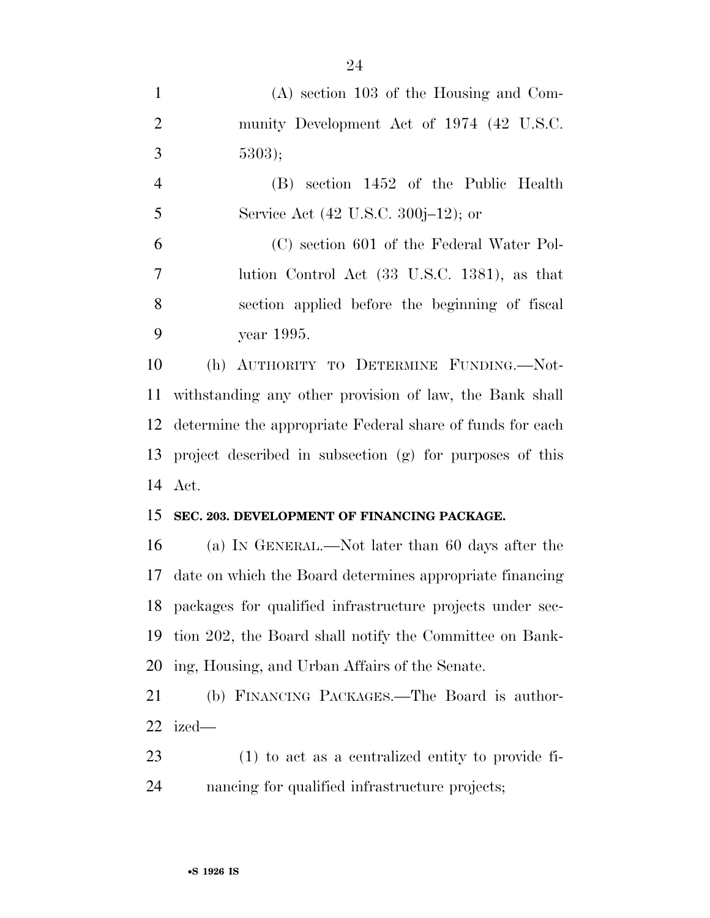| $\mathbf{1}$   | $(A)$ section 103 of the Housing and Com-                    |
|----------------|--------------------------------------------------------------|
| $\overline{2}$ | munity Development Act of 1974 (42 U.S.C.                    |
| 3              | 5303);                                                       |
| $\overline{4}$ | (B) section 1452 of the Public Health                        |
| 5              | Service Act (42 U.S.C. 300j–12); or                          |
| 6              | (C) section 601 of the Federal Water Pol-                    |
| $\tau$         | lution Control Act (33 U.S.C. 1381), as that                 |
| 8              | section applied before the beginning of fiscal               |
| 9              | year 1995.                                                   |
| 10             | (h) AUTHORITY TO DETERMINE FUNDING.—Not-                     |
| 11             | withstanding any other provision of law, the Bank shall      |
| 12             | determine the appropriate Federal share of funds for each    |
| 13             | project described in subsection (g) for purposes of this     |
| 14             | Act.                                                         |
| 15             | SEC. 203. DEVELOPMENT OF FINANCING PACKAGE.                  |
| 16             | (a) IN GENERAL.—Not later than 60 days after the             |
| 17             | date on which the Board determines appropriate financing     |
|                | 18 packages for qualified infrastructure projects under sec- |
| 19             | tion 202, the Board shall notify the Committee on Bank-      |
|                | 20 ing, Housing, and Urban Affairs of the Senate.            |
| 21             | (b) FINANCING PACKAGES.—The Board is author-                 |
| 22             | ized—                                                        |
| 23             | $(1)$ to act as a centralized entity to provide fi-          |
|                |                                                              |

nancing for qualified infrastructure projects;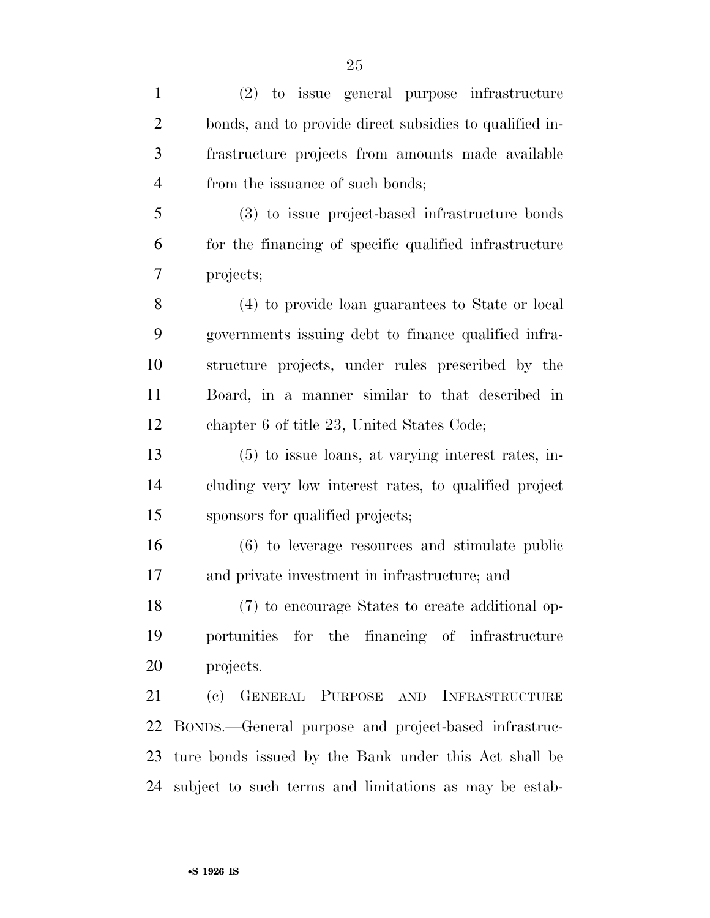| $\mathbf{1}$   | (2) to issue general purpose infrastructure             |
|----------------|---------------------------------------------------------|
| $\overline{2}$ | bonds, and to provide direct subsidies to qualified in- |
| 3              | frastructure projects from amounts made available       |
| $\overline{4}$ | from the issuance of such bonds;                        |
| 5              | (3) to issue project-based infrastructure bonds         |
| 6              | for the financing of specific qualified infrastructure  |
| 7              | projects;                                               |
| 8              | (4) to provide loan guarantees to State or local        |
| 9              | governments issuing debt to finance qualified infra-    |
| 10             | structure projects, under rules prescribed by the       |
| 11             | Board, in a manner similar to that described in         |
| 12             | chapter 6 of title 23, United States Code;              |
| 13             | (5) to issue loans, at varying interest rates, in-      |
| 14             | cluding very low interest rates, to qualified project   |
| 15             | sponsors for qualified projects;                        |
| 16             | (6) to leverage resources and stimulate public          |
| 17             | and private investment in infrastructure; and           |
| 18             | (7) to encourage States to create additional op-        |
| 19             | portunities for the financing of infrastructure         |
| 20             | projects.                                               |
| 21             | (c) GENERAL PURPOSE AND INFRASTRUCTURE                  |
| 22             | BONDS.—General purpose and project-based infrastruc-    |
| 23             | ture bonds issued by the Bank under this Act shall be   |
| 24             | subject to such terms and limitations as may be estab-  |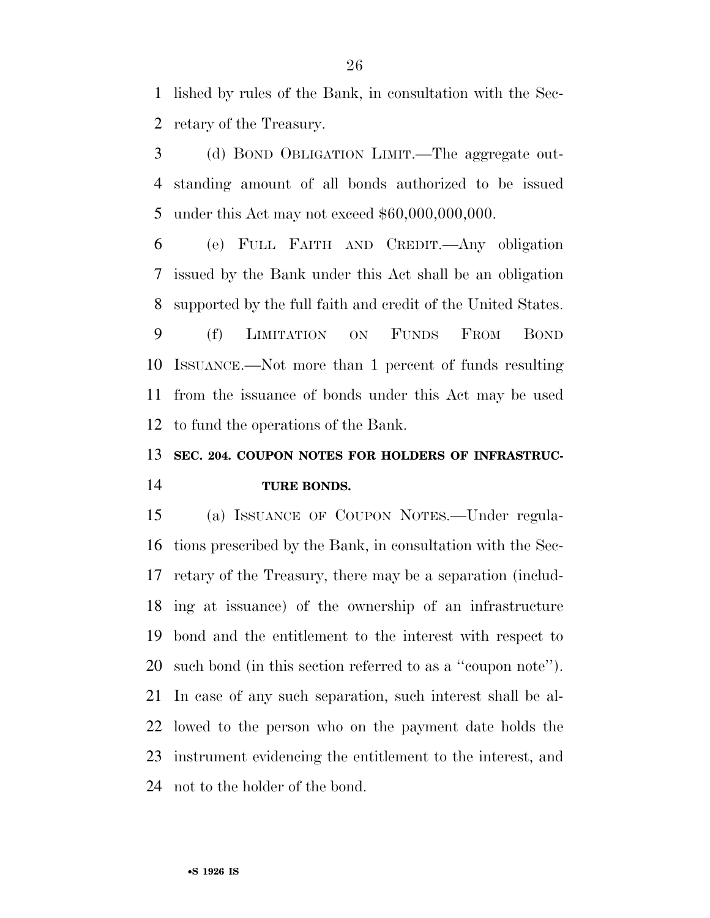lished by rules of the Bank, in consultation with the Sec-retary of the Treasury.

 (d) BOND OBLIGATION LIMIT.—The aggregate out- standing amount of all bonds authorized to be issued under this Act may not exceed \$60,000,000,000.

 (e) FULL FAITH AND CREDIT.—Any obligation issued by the Bank under this Act shall be an obligation supported by the full faith and credit of the United States.

 (f) LIMITATION ON FUNDS FROM BOND ISSUANCE.—Not more than 1 percent of funds resulting from the issuance of bonds under this Act may be used to fund the operations of the Bank.

### **SEC. 204. COUPON NOTES FOR HOLDERS OF INFRASTRUC-TURE BONDS.**

 (a) ISSUANCE OF COUPON NOTES.—Under regula- tions prescribed by the Bank, in consultation with the Sec- retary of the Treasury, there may be a separation (includ- ing at issuance) of the ownership of an infrastructure bond and the entitlement to the interest with respect to such bond (in this section referred to as a ''coupon note''). In case of any such separation, such interest shall be al- lowed to the person who on the payment date holds the instrument evidencing the entitlement to the interest, and not to the holder of the bond.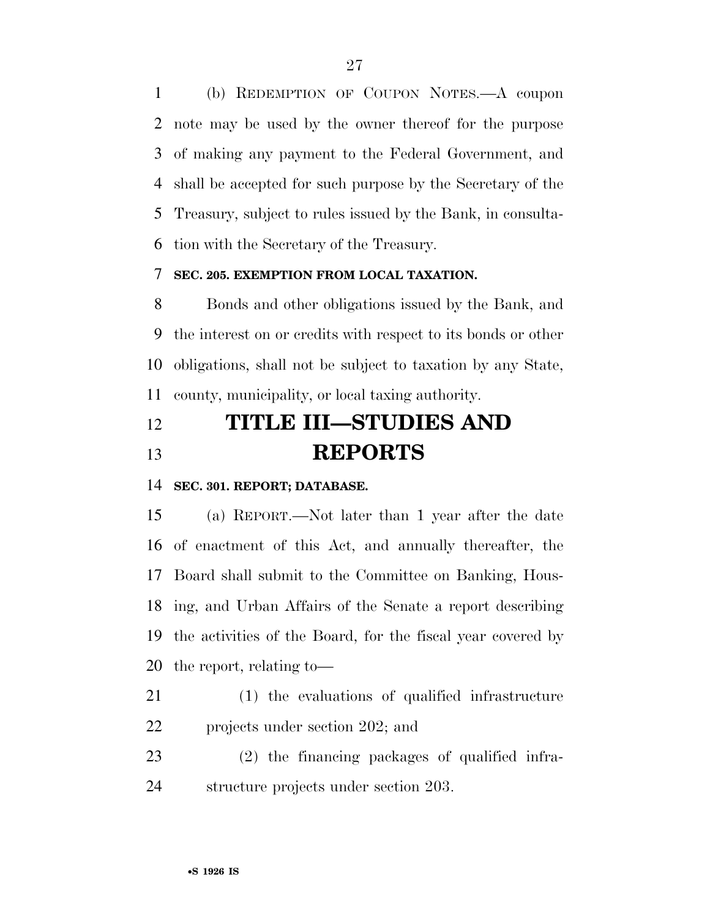(b) REDEMPTION OF COUPON NOTES.—A coupon note may be used by the owner thereof for the purpose of making any payment to the Federal Government, and shall be accepted for such purpose by the Secretary of the Treasury, subject to rules issued by the Bank, in consulta-tion with the Secretary of the Treasury.

### **SEC. 205. EXEMPTION FROM LOCAL TAXATION.**

 Bonds and other obligations issued by the Bank, and the interest on or credits with respect to its bonds or other obligations, shall not be subject to taxation by any State, county, municipality, or local taxing authority.

# **TITLE III—STUDIES AND REPORTS**

**SEC. 301. REPORT; DATABASE.** 

 (a) REPORT.—Not later than 1 year after the date of enactment of this Act, and annually thereafter, the Board shall submit to the Committee on Banking, Hous- ing, and Urban Affairs of the Senate a report describing the activities of the Board, for the fiscal year covered by the report, relating to—

- (1) the evaluations of qualified infrastructure projects under section 202; and
- (2) the financing packages of qualified infra-structure projects under section 203.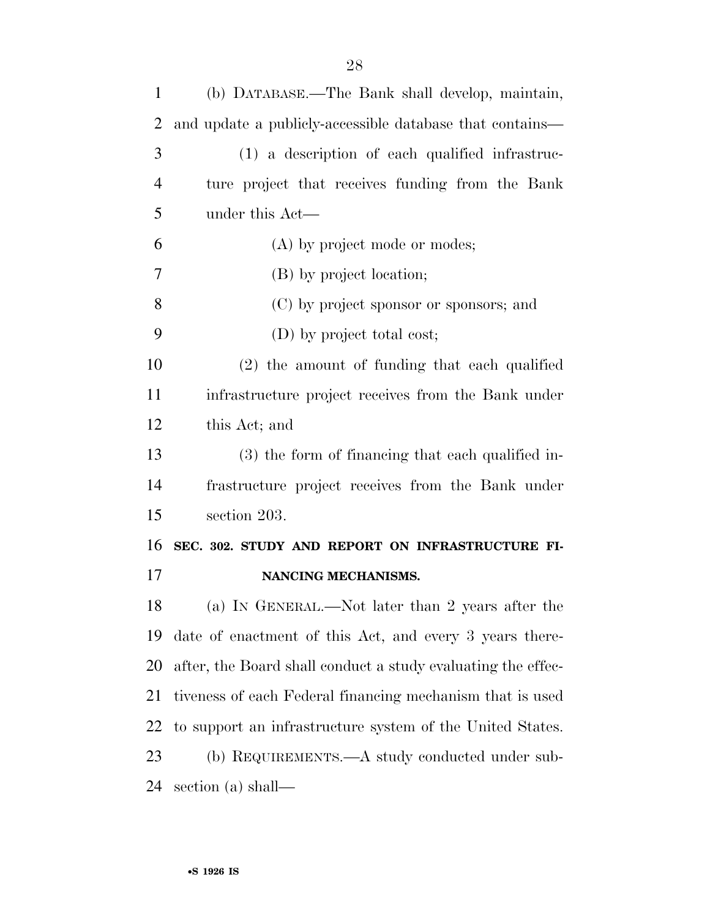| $\mathbf{1}$   | (b) DATABASE.—The Bank shall develop, maintain,              |
|----------------|--------------------------------------------------------------|
| $\overline{2}$ | and update a publicly-accessible database that contains—     |
| 3              | (1) a description of each qualified infrastruc-              |
| $\overline{4}$ | ture project that receives funding from the Bank             |
| 5              | under this Act—                                              |
| 6              | (A) by project mode or modes;                                |
| 7              | (B) by project location;                                     |
| 8              | (C) by project sponsor or sponsors; and                      |
| 9              | (D) by project total cost;                                   |
| 10             | $(2)$ the amount of funding that each qualified              |
| 11             | infrastructure project receives from the Bank under          |
| 12             | this Act; and                                                |
| 13             | $(3)$ the form of financing that each qualified in-          |
| 14             | frastructure project receives from the Bank under            |
| 15             | section 203.                                                 |
| 16             | SEC. 302. STUDY AND REPORT ON INFRASTRUCTURE FI-             |
| 17             | NANCING MECHANISMS.                                          |
| 18             | (a) IN GENERAL.—Not later than 2 years after the             |
| 19             | date of enactment of this Act, and every 3 years there-      |
| 20             | after, the Board shall conduct a study evaluating the effec- |
| 21             | tiveness of each Federal financing mechanism that is used    |
| 22             | to support an infrastructure system of the United States.    |
| 23             | (b) REQUIREMENTS.—A study conducted under sub-               |
| 24             | section (a) shall—                                           |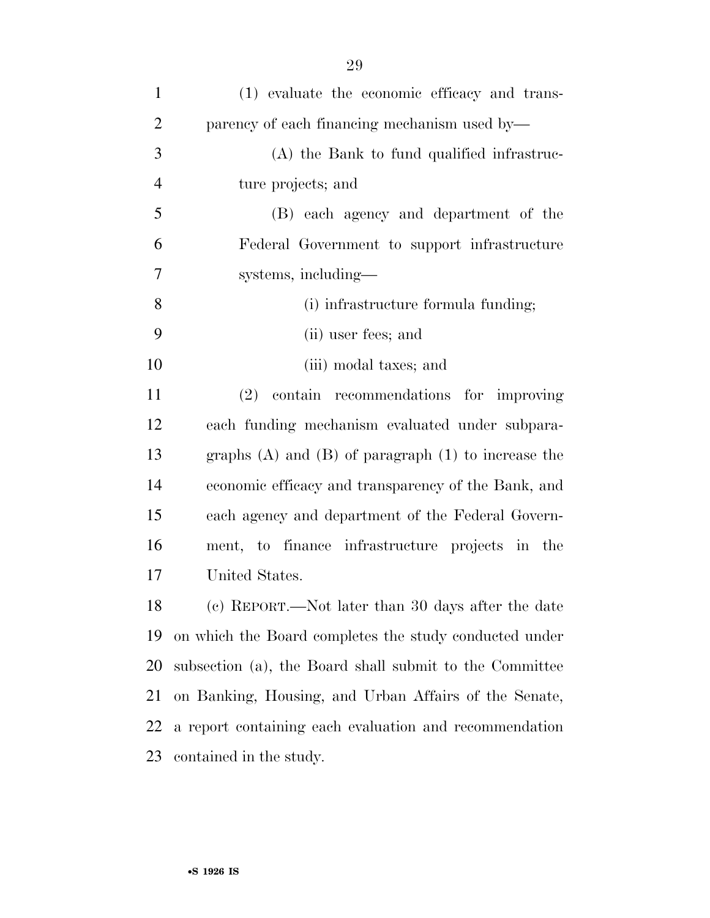| $\mathbf{1}$   | (1) evaluate the economic efficacy and trans-             |
|----------------|-----------------------------------------------------------|
| $\overline{2}$ | parency of each financing mechanism used by—              |
| 3              | (A) the Bank to fund qualified infrastruc-                |
| $\overline{4}$ | ture projects; and                                        |
| 5              | (B) each agency and department of the                     |
| 6              | Federal Government to support infrastructure              |
| 7              | systems, including—                                       |
| 8              | (i) infrastructure formula funding;                       |
| 9              | (ii) user fees; and                                       |
| 10             | (iii) modal taxes; and                                    |
| 11             | contain recommendations for improving<br>(2)              |
| 12             | each funding mechanism evaluated under subpara-           |
| 13             | graphs $(A)$ and $(B)$ of paragraph $(1)$ to increase the |
| 14             | economic efficacy and transparency of the Bank, and       |
| 15             | each agency and department of the Federal Govern-         |
| 16             | ment, to finance infrastructure projects in the           |
| 17             | United States.                                            |
| 18             | (c) REPORT.—Not later than 30 days after the date         |
| 19             | on which the Board completes the study conducted under    |
| 20             | subsection (a), the Board shall submit to the Committee   |
| 21             | on Banking, Housing, and Urban Affairs of the Senate,     |
| 22             | a report containing each evaluation and recommendation    |
| 23             | contained in the study.                                   |